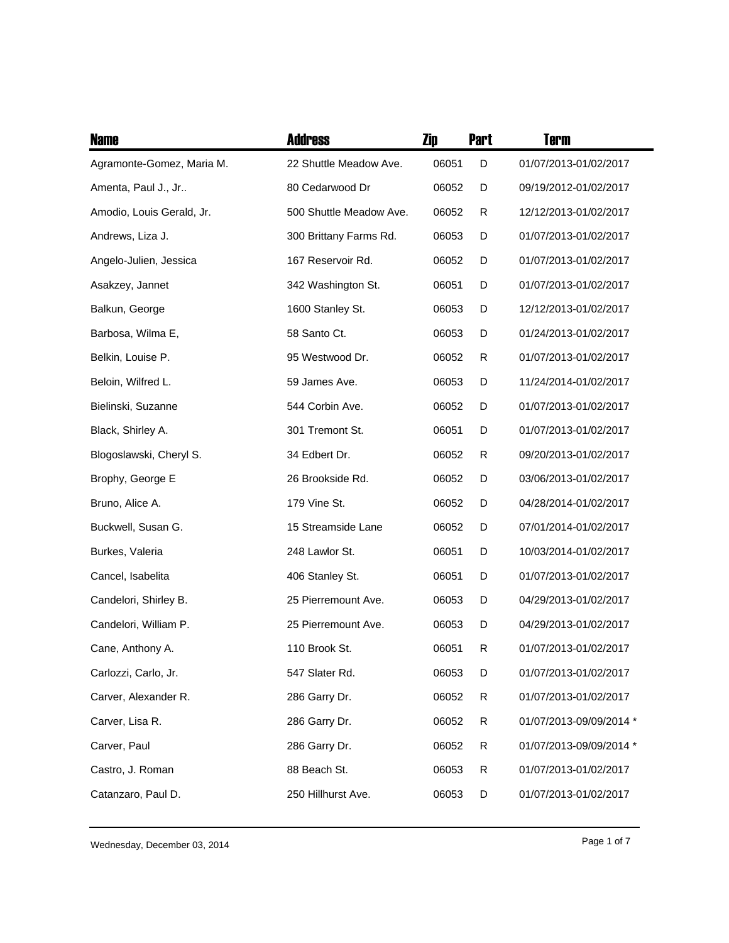| <b>Name</b>               | <b>Address</b>          | Zip   | <b>Part</b> | <b>Term</b>             |
|---------------------------|-------------------------|-------|-------------|-------------------------|
| Agramonte-Gomez, Maria M. | 22 Shuttle Meadow Ave.  | 06051 | D           | 01/07/2013-01/02/2017   |
| Amenta, Paul J., Jr       | 80 Cedarwood Dr         | 06052 | D           | 09/19/2012-01/02/2017   |
| Amodio, Louis Gerald, Jr. | 500 Shuttle Meadow Ave. | 06052 | R           | 12/12/2013-01/02/2017   |
| Andrews, Liza J.          | 300 Brittany Farms Rd.  | 06053 | D           | 01/07/2013-01/02/2017   |
| Angelo-Julien, Jessica    | 167 Reservoir Rd.       | 06052 | D           | 01/07/2013-01/02/2017   |
| Asakzey, Jannet           | 342 Washington St.      | 06051 | D           | 01/07/2013-01/02/2017   |
| Balkun, George            | 1600 Stanley St.        | 06053 | D           | 12/12/2013-01/02/2017   |
| Barbosa, Wilma E,         | 58 Santo Ct.            | 06053 | D           | 01/24/2013-01/02/2017   |
| Belkin, Louise P.         | 95 Westwood Dr.         | 06052 | R           | 01/07/2013-01/02/2017   |
| Beloin, Wilfred L.        | 59 James Ave.           | 06053 | D           | 11/24/2014-01/02/2017   |
| Bielinski, Suzanne        | 544 Corbin Ave.         | 06052 | D           | 01/07/2013-01/02/2017   |
| Black, Shirley A.         | 301 Tremont St.         | 06051 | D           | 01/07/2013-01/02/2017   |
| Blogoslawski, Cheryl S.   | 34 Edbert Dr.           | 06052 | R           | 09/20/2013-01/02/2017   |
| Brophy, George E          | 26 Brookside Rd.        | 06052 | D           | 03/06/2013-01/02/2017   |
| Bruno, Alice A.           | 179 Vine St.            | 06052 | D           | 04/28/2014-01/02/2017   |
| Buckwell, Susan G.        | 15 Streamside Lane      | 06052 | D           | 07/01/2014-01/02/2017   |
| Burkes, Valeria           | 248 Lawlor St.          | 06051 | D           | 10/03/2014-01/02/2017   |
| Cancel, Isabelita         | 406 Stanley St.         | 06051 | D           | 01/07/2013-01/02/2017   |
| Candelori, Shirley B.     | 25 Pierremount Ave.     | 06053 | D           | 04/29/2013-01/02/2017   |
| Candelori, William P.     | 25 Pierremount Ave.     | 06053 | D           | 04/29/2013-01/02/2017   |
| Cane, Anthony A.          | 110 Brook St.           | 06051 | R           | 01/07/2013-01/02/2017   |
| Carlozzi, Carlo, Jr.      | 547 Slater Rd.          | 06053 | D           | 01/07/2013-01/02/2017   |
| Carver, Alexander R.      | 286 Garry Dr.           | 06052 | R           | 01/07/2013-01/02/2017   |
| Carver, Lisa R.           | 286 Garry Dr.           | 06052 | R           | 01/07/2013-09/09/2014 * |
| Carver, Paul              | 286 Garry Dr.           | 06052 | R           | 01/07/2013-09/09/2014 * |
| Castro, J. Roman          | 88 Beach St.            | 06053 | R           | 01/07/2013-01/02/2017   |
| Catanzaro, Paul D.        | 250 Hillhurst Ave.      | 06053 | D           | 01/07/2013-01/02/2017   |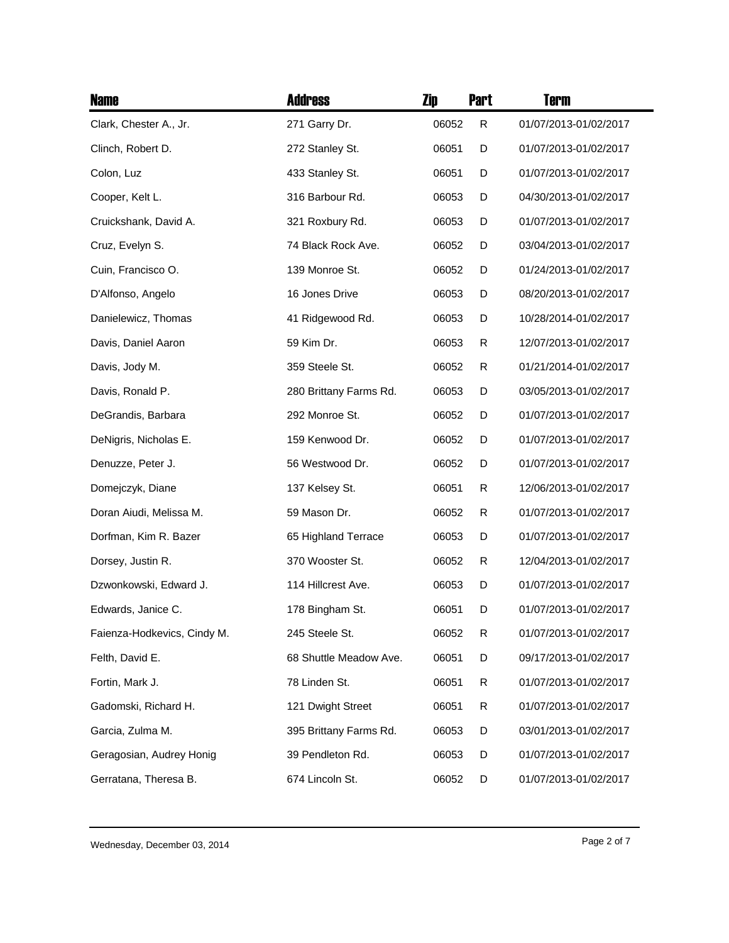| <b>Name</b>                 | <b>Address</b>         | Zip   | <b>Part</b> | <b>Term</b>           |
|-----------------------------|------------------------|-------|-------------|-----------------------|
| Clark, Chester A., Jr.      | 271 Garry Dr.          | 06052 | R           | 01/07/2013-01/02/2017 |
| Clinch, Robert D.           | 272 Stanley St.        | 06051 | D           | 01/07/2013-01/02/2017 |
| Colon, Luz                  | 433 Stanley St.        | 06051 | D           | 01/07/2013-01/02/2017 |
| Cooper, Kelt L.             | 316 Barbour Rd.        | 06053 | D           | 04/30/2013-01/02/2017 |
| Cruickshank, David A.       | 321 Roxbury Rd.        | 06053 | D           | 01/07/2013-01/02/2017 |
| Cruz, Evelyn S.             | 74 Black Rock Ave.     | 06052 | D           | 03/04/2013-01/02/2017 |
| Cuin, Francisco O.          | 139 Monroe St.         | 06052 | D           | 01/24/2013-01/02/2017 |
| D'Alfonso, Angelo           | 16 Jones Drive         | 06053 | D           | 08/20/2013-01/02/2017 |
| Danielewicz, Thomas         | 41 Ridgewood Rd.       | 06053 | D           | 10/28/2014-01/02/2017 |
| Davis, Daniel Aaron         | 59 Kim Dr.             | 06053 | R           | 12/07/2013-01/02/2017 |
| Davis, Jody M.              | 359 Steele St.         | 06052 | R           | 01/21/2014-01/02/2017 |
| Davis, Ronald P.            | 280 Brittany Farms Rd. | 06053 | D           | 03/05/2013-01/02/2017 |
| DeGrandis, Barbara          | 292 Monroe St.         | 06052 | D           | 01/07/2013-01/02/2017 |
| DeNigris, Nicholas E.       | 159 Kenwood Dr.        | 06052 | D           | 01/07/2013-01/02/2017 |
| Denuzze, Peter J.           | 56 Westwood Dr.        | 06052 | D           | 01/07/2013-01/02/2017 |
| Domejczyk, Diane            | 137 Kelsey St.         | 06051 | R           | 12/06/2013-01/02/2017 |
| Doran Aiudi, Melissa M.     | 59 Mason Dr.           | 06052 | R           | 01/07/2013-01/02/2017 |
| Dorfman, Kim R. Bazer       | 65 Highland Terrace    | 06053 | D           | 01/07/2013-01/02/2017 |
| Dorsey, Justin R.           | 370 Wooster St.        | 06052 | R           | 12/04/2013-01/02/2017 |
| Dzwonkowski, Edward J.      | 114 Hillcrest Ave.     | 06053 | D           | 01/07/2013-01/02/2017 |
| Edwards, Janice C.          | 178 Bingham St.        | 06051 | D           | 01/07/2013-01/02/2017 |
| Faienza-Hodkevics, Cindy M. | 245 Steele St.         | 06052 | R           | 01/07/2013-01/02/2017 |
| Felth, David E.             | 68 Shuttle Meadow Ave. | 06051 | D           | 09/17/2013-01/02/2017 |
| Fortin, Mark J.             | 78 Linden St.          | 06051 | R           | 01/07/2013-01/02/2017 |
| Gadomski, Richard H.        | 121 Dwight Street      | 06051 | R           | 01/07/2013-01/02/2017 |
| Garcia, Zulma M.            | 395 Brittany Farms Rd. | 06053 | D           | 03/01/2013-01/02/2017 |
| Geragosian, Audrey Honig    | 39 Pendleton Rd.       | 06053 | D           | 01/07/2013-01/02/2017 |
| Gerratana, Theresa B.       | 674 Lincoln St.        | 06052 | D           | 01/07/2013-01/02/2017 |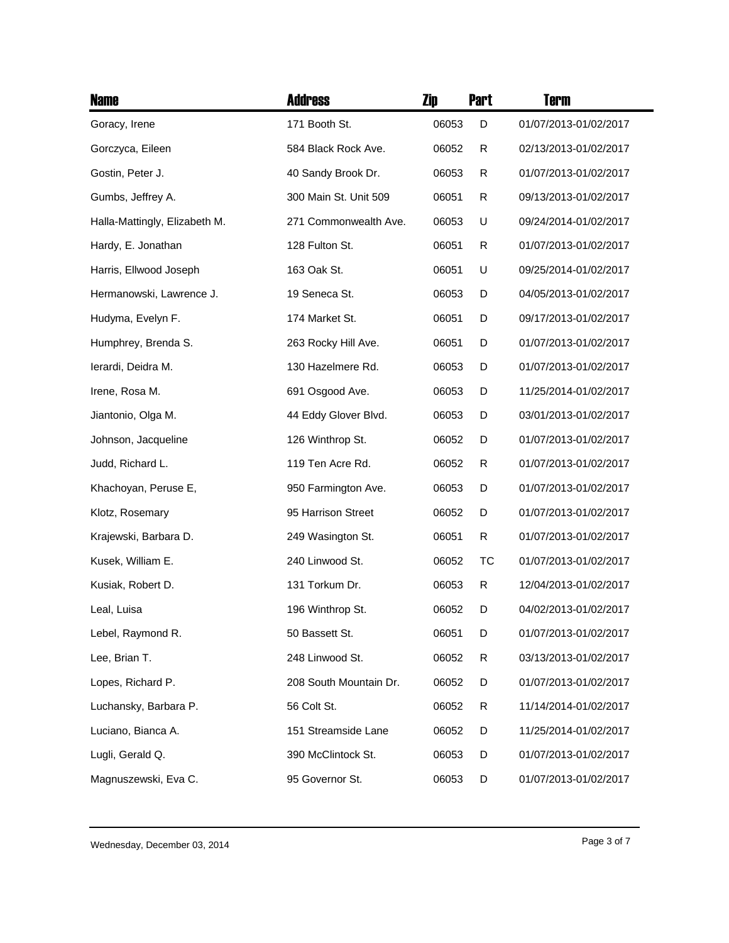| <b>Name</b>                   | <b>Address</b>         | Zip   | <b>Part</b> | Term                  |
|-------------------------------|------------------------|-------|-------------|-----------------------|
| Goracy, Irene                 | 171 Booth St.          | 06053 | D           | 01/07/2013-01/02/2017 |
| Gorczyca, Eileen              | 584 Black Rock Ave.    | 06052 | R           | 02/13/2013-01/02/2017 |
| Gostin, Peter J.              | 40 Sandy Brook Dr.     | 06053 | R           | 01/07/2013-01/02/2017 |
| Gumbs, Jeffrey A.             | 300 Main St. Unit 509  | 06051 | R           | 09/13/2013-01/02/2017 |
| Halla-Mattingly, Elizabeth M. | 271 Commonwealth Ave.  | 06053 | U           | 09/24/2014-01/02/2017 |
| Hardy, E. Jonathan            | 128 Fulton St.         | 06051 | R           | 01/07/2013-01/02/2017 |
| Harris, Ellwood Joseph        | 163 Oak St.            | 06051 | U           | 09/25/2014-01/02/2017 |
| Hermanowski, Lawrence J.      | 19 Seneca St.          | 06053 | D           | 04/05/2013-01/02/2017 |
| Hudyma, Evelyn F.             | 174 Market St.         | 06051 | D           | 09/17/2013-01/02/2017 |
| Humphrey, Brenda S.           | 263 Rocky Hill Ave.    | 06051 | D           | 01/07/2013-01/02/2017 |
| lerardi, Deidra M.            | 130 Hazelmere Rd.      | 06053 | D           | 01/07/2013-01/02/2017 |
| Irene, Rosa M.                | 691 Osgood Ave.        | 06053 | D           | 11/25/2014-01/02/2017 |
| Jiantonio, Olga M.            | 44 Eddy Glover Blvd.   | 06053 | D           | 03/01/2013-01/02/2017 |
| Johnson, Jacqueline           | 126 Winthrop St.       | 06052 | D           | 01/07/2013-01/02/2017 |
| Judd, Richard L.              | 119 Ten Acre Rd.       | 06052 | R           | 01/07/2013-01/02/2017 |
| Khachoyan, Peruse E,          | 950 Farmington Ave.    | 06053 | D           | 01/07/2013-01/02/2017 |
| Klotz, Rosemary               | 95 Harrison Street     | 06052 | D           | 01/07/2013-01/02/2017 |
| Krajewski, Barbara D.         | 249 Wasington St.      | 06051 | R           | 01/07/2013-01/02/2017 |
| Kusek, William E.             | 240 Linwood St.        | 06052 | TC          | 01/07/2013-01/02/2017 |
| Kusiak, Robert D.             | 131 Torkum Dr.         | 06053 | R           | 12/04/2013-01/02/2017 |
| Leal, Luisa                   | 196 Winthrop St.       | 06052 | D           | 04/02/2013-01/02/2017 |
| Lebel, Raymond R.             | 50 Bassett St.         | 06051 | D           | 01/07/2013-01/02/2017 |
| Lee, Brian T.                 | 248 Linwood St.        | 06052 | R           | 03/13/2013-01/02/2017 |
| Lopes, Richard P.             | 208 South Mountain Dr. | 06052 | D           | 01/07/2013-01/02/2017 |
| Luchansky, Barbara P.         | 56 Colt St.            | 06052 | R           | 11/14/2014-01/02/2017 |
| Luciano, Bianca A.            | 151 Streamside Lane    | 06052 | D           | 11/25/2014-01/02/2017 |
| Lugli, Gerald Q.              | 390 McClintock St.     | 06053 | D           | 01/07/2013-01/02/2017 |
| Magnuszewski, Eva C.          | 95 Governor St.        | 06053 | D           | 01/07/2013-01/02/2017 |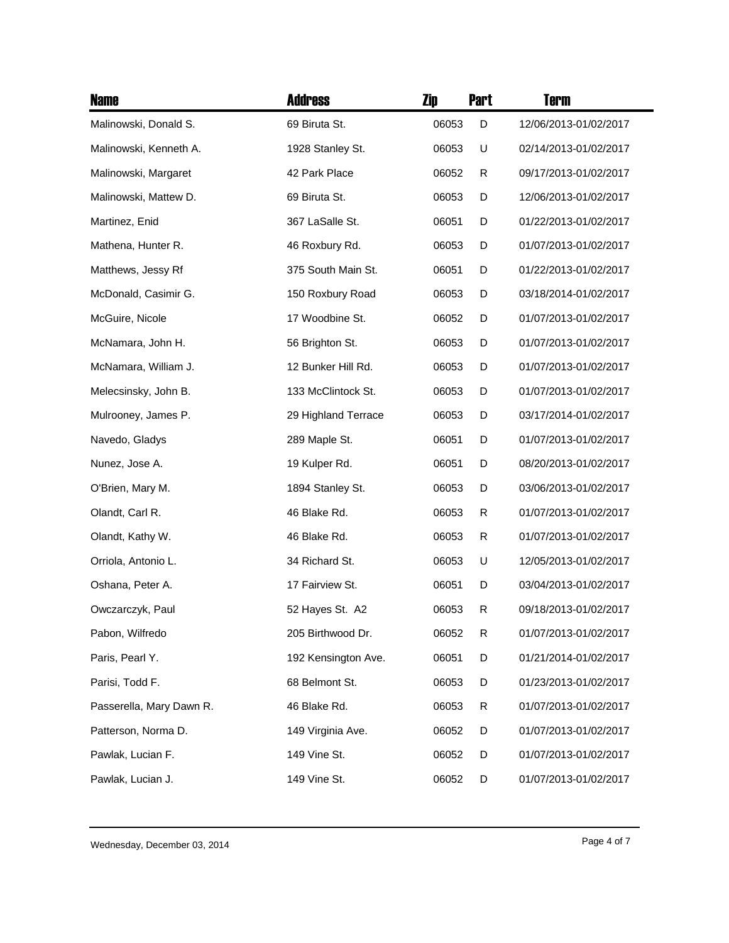| <b>Name</b>              | <b>Address</b>      | Zip   | <b>Part</b> | Term                  |
|--------------------------|---------------------|-------|-------------|-----------------------|
| Malinowski, Donald S.    | 69 Biruta St.       | 06053 | D           | 12/06/2013-01/02/2017 |
| Malinowski, Kenneth A.   | 1928 Stanley St.    | 06053 | U           | 02/14/2013-01/02/2017 |
| Malinowski, Margaret     | 42 Park Place       | 06052 | R           | 09/17/2013-01/02/2017 |
| Malinowski, Mattew D.    | 69 Biruta St.       | 06053 | D           | 12/06/2013-01/02/2017 |
| Martinez, Enid           | 367 LaSalle St.     | 06051 | D           | 01/22/2013-01/02/2017 |
| Mathena, Hunter R.       | 46 Roxbury Rd.      | 06053 | D           | 01/07/2013-01/02/2017 |
| Matthews, Jessy Rf       | 375 South Main St.  | 06051 | D           | 01/22/2013-01/02/2017 |
| McDonald, Casimir G.     | 150 Roxbury Road    | 06053 | D           | 03/18/2014-01/02/2017 |
| McGuire, Nicole          | 17 Woodbine St.     | 06052 | D           | 01/07/2013-01/02/2017 |
| McNamara, John H.        | 56 Brighton St.     | 06053 | D           | 01/07/2013-01/02/2017 |
| McNamara, William J.     | 12 Bunker Hill Rd.  | 06053 | D           | 01/07/2013-01/02/2017 |
| Melecsinsky, John B.     | 133 McClintock St.  | 06053 | D           | 01/07/2013-01/02/2017 |
| Mulrooney, James P.      | 29 Highland Terrace | 06053 | D           | 03/17/2014-01/02/2017 |
| Navedo, Gladys           | 289 Maple St.       | 06051 | D           | 01/07/2013-01/02/2017 |
| Nunez, Jose A.           | 19 Kulper Rd.       | 06051 | D           | 08/20/2013-01/02/2017 |
| O'Brien, Mary M.         | 1894 Stanley St.    | 06053 | D           | 03/06/2013-01/02/2017 |
| Olandt, Carl R.          | 46 Blake Rd.        | 06053 | R           | 01/07/2013-01/02/2017 |
| Olandt, Kathy W.         | 46 Blake Rd.        | 06053 | R           | 01/07/2013-01/02/2017 |
| Orriola, Antonio L.      | 34 Richard St.      | 06053 | U           | 12/05/2013-01/02/2017 |
| Oshana, Peter A.         | 17 Fairview St.     | 06051 | D           | 03/04/2013-01/02/2017 |
| Owczarczyk, Paul         | 52 Hayes St. A2     | 06053 | R           | 09/18/2013-01/02/2017 |
| Pabon, Wilfredo          | 205 Birthwood Dr.   | 06052 | R           | 01/07/2013-01/02/2017 |
| Paris, Pearl Y.          | 192 Kensington Ave. | 06051 | D           | 01/21/2014-01/02/2017 |
| Parisi, Todd F.          | 68 Belmont St.      | 06053 | D           | 01/23/2013-01/02/2017 |
| Passerella, Mary Dawn R. | 46 Blake Rd.        | 06053 | R           | 01/07/2013-01/02/2017 |
| Patterson, Norma D.      | 149 Virginia Ave.   | 06052 | D           | 01/07/2013-01/02/2017 |
| Pawlak, Lucian F.        | 149 Vine St.        | 06052 | D           | 01/07/2013-01/02/2017 |
| Pawlak, Lucian J.        | 149 Vine St.        | 06052 | D           | 01/07/2013-01/02/2017 |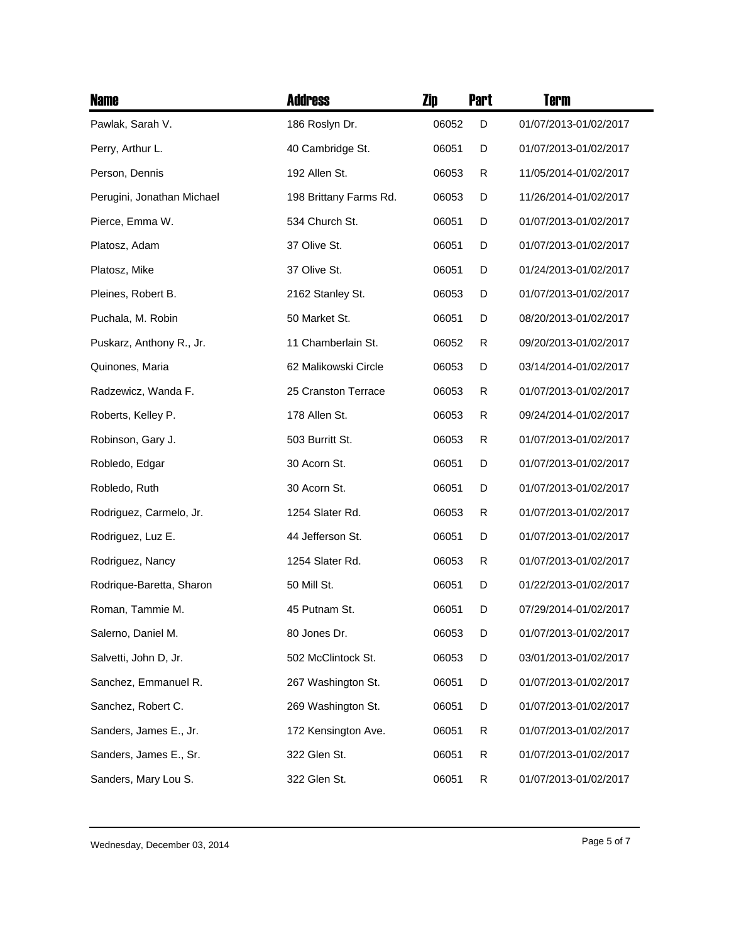| <b>Name</b>                | <b>Address</b>         | Zip   | <b>Part</b> | Term                  |
|----------------------------|------------------------|-------|-------------|-----------------------|
| Pawlak, Sarah V.           | 186 Roslyn Dr.         | 06052 | D           | 01/07/2013-01/02/2017 |
| Perry, Arthur L.           | 40 Cambridge St.       | 06051 | D           | 01/07/2013-01/02/2017 |
| Person, Dennis             | 192 Allen St.          | 06053 | R           | 11/05/2014-01/02/2017 |
| Perugini, Jonathan Michael | 198 Brittany Farms Rd. | 06053 | D           | 11/26/2014-01/02/2017 |
| Pierce, Emma W.            | 534 Church St.         | 06051 | D           | 01/07/2013-01/02/2017 |
| Platosz, Adam              | 37 Olive St.           | 06051 | D           | 01/07/2013-01/02/2017 |
| Platosz, Mike              | 37 Olive St.           | 06051 | D           | 01/24/2013-01/02/2017 |
| Pleines, Robert B.         | 2162 Stanley St.       | 06053 | D           | 01/07/2013-01/02/2017 |
| Puchala, M. Robin          | 50 Market St.          | 06051 | D           | 08/20/2013-01/02/2017 |
| Puskarz, Anthony R., Jr.   | 11 Chamberlain St.     | 06052 | R           | 09/20/2013-01/02/2017 |
| Quinones, Maria            | 62 Malikowski Circle   | 06053 | D           | 03/14/2014-01/02/2017 |
| Radzewicz, Wanda F.        | 25 Cranston Terrace    | 06053 | R           | 01/07/2013-01/02/2017 |
| Roberts, Kelley P.         | 178 Allen St.          | 06053 | R           | 09/24/2014-01/02/2017 |
| Robinson, Gary J.          | 503 Burritt St.        | 06053 | R           | 01/07/2013-01/02/2017 |
| Robledo, Edgar             | 30 Acorn St.           | 06051 | D           | 01/07/2013-01/02/2017 |
| Robledo, Ruth              | 30 Acorn St.           | 06051 | D           | 01/07/2013-01/02/2017 |
| Rodriguez, Carmelo, Jr.    | 1254 Slater Rd.        | 06053 | R           | 01/07/2013-01/02/2017 |
| Rodriguez, Luz E.          | 44 Jefferson St.       | 06051 | D           | 01/07/2013-01/02/2017 |
| Rodriguez, Nancy           | 1254 Slater Rd.        | 06053 | R           | 01/07/2013-01/02/2017 |
| Rodrique-Baretta, Sharon   | 50 Mill St.            | 06051 | D           | 01/22/2013-01/02/2017 |
| Roman, Tammie M.           | 45 Putnam St.          | 06051 | D           | 07/29/2014-01/02/2017 |
| Salerno, Daniel M.         | 80 Jones Dr.           | 06053 | D           | 01/07/2013-01/02/2017 |
| Salvetti, John D, Jr.      | 502 McClintock St.     | 06053 | D           | 03/01/2013-01/02/2017 |
| Sanchez, Emmanuel R.       | 267 Washington St.     | 06051 | D           | 01/07/2013-01/02/2017 |
| Sanchez, Robert C.         | 269 Washington St.     | 06051 | D           | 01/07/2013-01/02/2017 |
| Sanders, James E., Jr.     | 172 Kensington Ave.    | 06051 | R           | 01/07/2013-01/02/2017 |
| Sanders, James E., Sr.     | 322 Glen St.           | 06051 | R           | 01/07/2013-01/02/2017 |
| Sanders, Mary Lou S.       | 322 Glen St.           | 06051 | R           | 01/07/2013-01/02/2017 |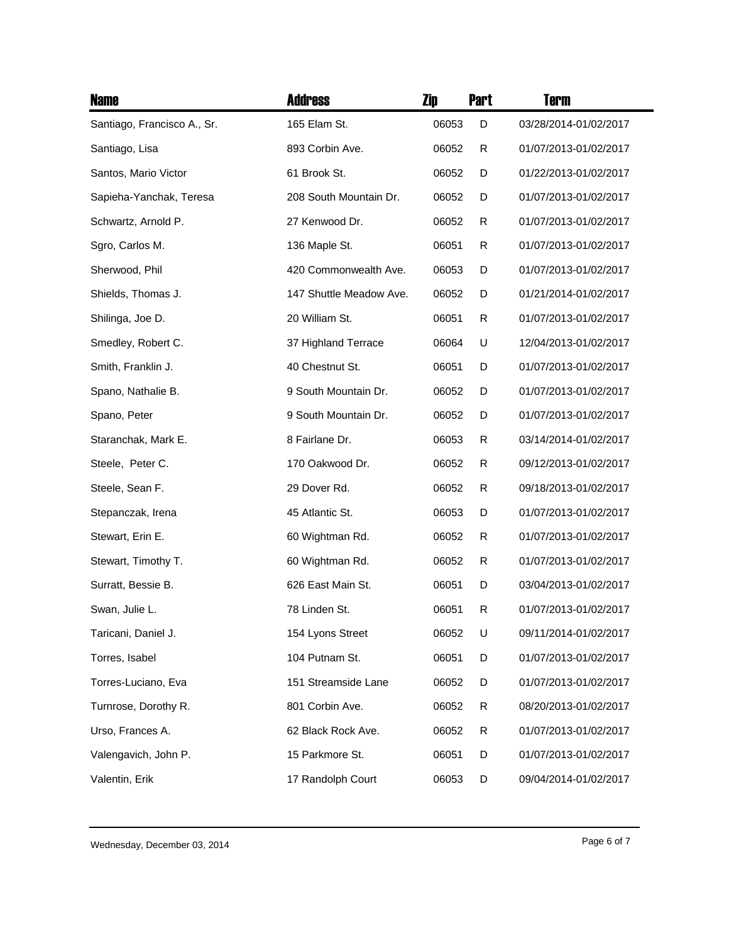| <b>Name</b>                 | <b>Address</b>          | Zip   | <b>Part</b> | <b>Term</b>           |
|-----------------------------|-------------------------|-------|-------------|-----------------------|
| Santiago, Francisco A., Sr. | 165 Elam St.            | 06053 | D           | 03/28/2014-01/02/2017 |
| Santiago, Lisa              | 893 Corbin Ave.         | 06052 | R           | 01/07/2013-01/02/2017 |
| Santos, Mario Victor        | 61 Brook St.            | 06052 | D           | 01/22/2013-01/02/2017 |
| Sapieha-Yanchak, Teresa     | 208 South Mountain Dr.  | 06052 | D           | 01/07/2013-01/02/2017 |
| Schwartz, Arnold P.         | 27 Kenwood Dr.          | 06052 | R           | 01/07/2013-01/02/2017 |
| Sgro, Carlos M.             | 136 Maple St.           | 06051 | R           | 01/07/2013-01/02/2017 |
| Sherwood, Phil              | 420 Commonwealth Ave.   | 06053 | D           | 01/07/2013-01/02/2017 |
| Shields, Thomas J.          | 147 Shuttle Meadow Ave. | 06052 | D           | 01/21/2014-01/02/2017 |
| Shilinga, Joe D.            | 20 William St.          | 06051 | R           | 01/07/2013-01/02/2017 |
| Smedley, Robert C.          | 37 Highland Terrace     | 06064 | U           | 12/04/2013-01/02/2017 |
| Smith, Franklin J.          | 40 Chestnut St.         | 06051 | D           | 01/07/2013-01/02/2017 |
| Spano, Nathalie B.          | 9 South Mountain Dr.    | 06052 | D           | 01/07/2013-01/02/2017 |
| Spano, Peter                | 9 South Mountain Dr.    | 06052 | D           | 01/07/2013-01/02/2017 |
| Staranchak, Mark E.         | 8 Fairlane Dr.          | 06053 | R           | 03/14/2014-01/02/2017 |
| Steele, Peter C.            | 170 Oakwood Dr.         | 06052 | R           | 09/12/2013-01/02/2017 |
| Steele, Sean F.             | 29 Dover Rd.            | 06052 | R           | 09/18/2013-01/02/2017 |
| Stepanczak, Irena           | 45 Atlantic St.         | 06053 | D           | 01/07/2013-01/02/2017 |
| Stewart, Erin E.            | 60 Wightman Rd.         | 06052 | R           | 01/07/2013-01/02/2017 |
| Stewart, Timothy T.         | 60 Wightman Rd.         | 06052 | R           | 01/07/2013-01/02/2017 |
| Surratt, Bessie B.          | 626 East Main St.       | 06051 | D           | 03/04/2013-01/02/2017 |
| Swan, Julie L.              | 78 Linden St.           | 06051 | R           | 01/07/2013-01/02/2017 |
| Taricani, Daniel J.         | 154 Lyons Street        | 06052 | U           | 09/11/2014-01/02/2017 |
| Torres, Isabel              | 104 Putnam St.          | 06051 | D           | 01/07/2013-01/02/2017 |
| Torres-Luciano, Eva         | 151 Streamside Lane     | 06052 | D           | 01/07/2013-01/02/2017 |
| Turnrose, Dorothy R.        | 801 Corbin Ave.         | 06052 | R           | 08/20/2013-01/02/2017 |
| Urso, Frances A.            | 62 Black Rock Ave.      | 06052 | R           | 01/07/2013-01/02/2017 |
| Valengavich, John P.        | 15 Parkmore St.         | 06051 | D           | 01/07/2013-01/02/2017 |
| Valentin, Erik              | 17 Randolph Court       | 06053 | D           | 09/04/2014-01/02/2017 |